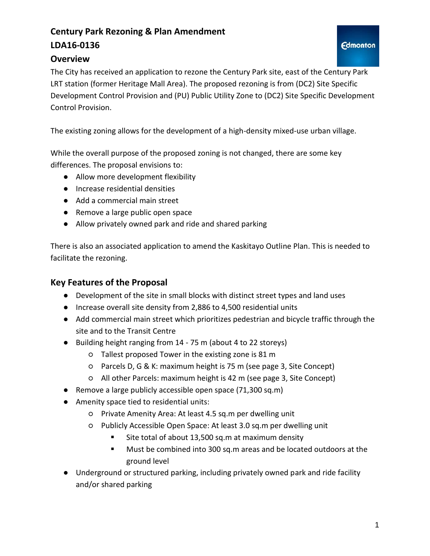### **Century Park Rezoning & Plan Amendment LDA16-0136**

#### **Overview**

The City has received an application to rezone the Century Park site, east of the Century Park LRT station (former Heritage Mall Area). The proposed rezoning is from (DC2) Site Specific Development Control Provision and (PU) Public Utility Zone to (DC2) Site Specific Development Control Provision.

The existing zoning allows for the development of a high-density mixed-use urban village.

While the overall purpose of the proposed zoning is not changed, there are some key differences. The proposal envisions to:

- Allow more development flexibility
- Increase residential densities
- Add a commercial main street
- Remove a large public open space
- Allow privately owned park and ride and shared parking

There is also an associated application to amend the Kaskitayo Outline Plan. This is needed to facilitate the rezoning.

#### **Key Features of the Proposal**

- Development of the site in small blocks with distinct street types and land uses
- Increase overall site density from 2,886 to 4,500 residential units
- Add commercial main street which prioritizes pedestrian and bicycle traffic through the site and to the Transit Centre
- Building height ranging from 14 75 m (about 4 to 22 storeys)
	- Tallest proposed Tower in the existing zone is 81 m
	- Parcels D, G & K: maximum height is 75 m (see page 3, Site Concept)
	- All other Parcels: maximum height is 42 m (see page 3, Site Concept)
- Remove a large publicly accessible open space (71,300 sq.m)
- Amenity space tied to residential units:
	- Private Amenity Area: At least 4.5 sq.m per dwelling unit
	- Publicly Accessible Open Space: At least 3.0 sq.m per dwelling unit
		- Site total of about 13,500 sq.m at maximum density
		- **Must be combined into 300 sq.m areas and be located outdoors at the** ground level
- Underground or structured parking, including privately owned park and ride facility and/or shared parking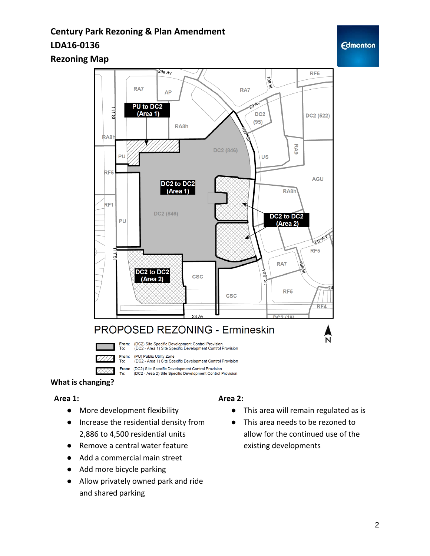## **Century Park Rezoning & Plan Amendment LDA16-0136**

#### **Rezoning Map**



#### **What is changing?**

#### **Area 1:**

- More development flexibility
- Increase the residential density from 2,886 to 4,500 residential units
- Remove a central water feature
- Add a commercial main street
- Add more bicycle parking
- Allow privately owned park and ride and shared parking

#### **Area 2:**

- This area will remain regulated as is
- This area needs to be rezoned to allow for the continued use of the existing developments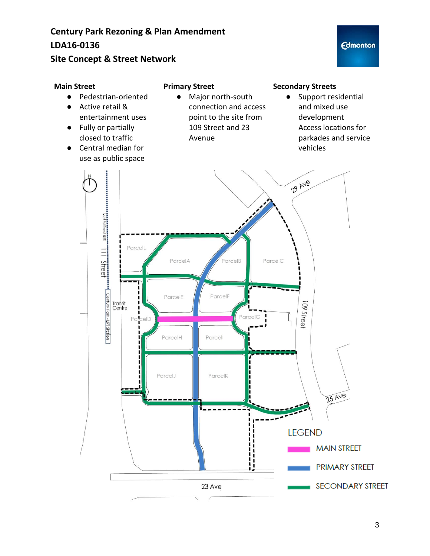### **Century Park Rezoning & Plan Amendment LDA16-0136**

#### **Site Concept & Street Network**

#### **Primary Street**

- Pedestrian-oriented ● Active retail &
- entertainment uses
- Fully or partially closed to traffic
- Central median for use as public space
- Major north-south connection and access point to the site from 109 Street and 23 Avenue

#### **Secondary Streets**

● Support residential and mixed use development Access locations for parkades and service vehicles

**Edmonton** 

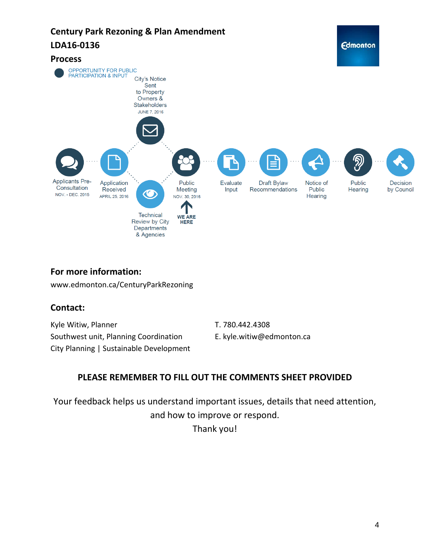

#### **For more information:**

www.edmonton.ca/CenturyParkRezoning

#### **Contact:**

Kyle Witiw, Planner Southwest unit, Planning Coordination City Planning | Sustainable Development T. 780.442.4308

E. kyle.witiw@edmonton.ca

#### **PLEASE REMEMBER TO FILL OUT THE COMMENTS SHEET PROVIDED**

Your feedback helps us understand important issues, details that need attention, and how to improve or respond.

Thank you!